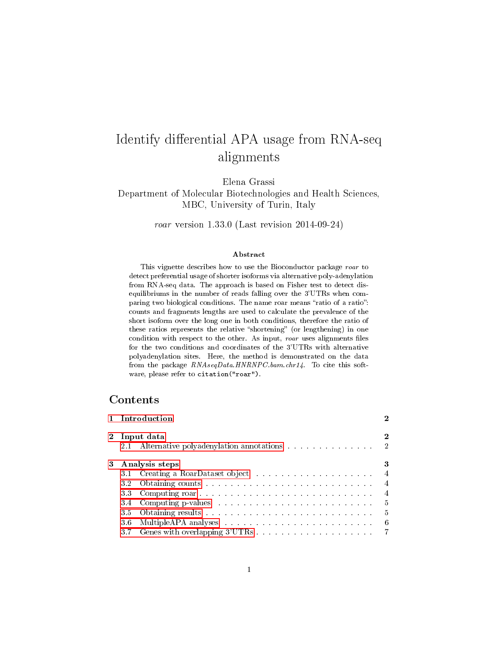# Identify differential APA usage from RNA-seq alignments

Elena Grassi

Department of Molecular Biotechnologies and Health Sciences, MBC, University of Turin, Italy

roar version 1.33.0 (Last revision 2014-09-24)

#### Abstract

This vignette describes how to use the Bioconductor package roar to detect preferential usage of shorter isoforms via alternative poly-adenylation from RNA-seq data. The approach is based on Fisher test to detect disequilibriums in the number of reads falling over the 3'UTRs when comparing two biological conditions. The name roar means "ratio of a ratio": counts and fragments lengths are used to calculate the prevalence of the short isoform over the long one in both conditions, therefore the ratio of these ratios represents the relative "shortening" (or lengthening) in one condition with respect to the other. As input, roar uses alignments files for the two conditions and coordinates of the 3'UTRs with alternative polyadenylation sites. Here, the method is demonstrated on the data from the package RNAseqData.HNRNPC.bam.chr14. To cite this software, please refer to citation("roar").

# Contents

| 1 Introduction |                                                                                                                                                                                                                                |                  |  |
|----------------|--------------------------------------------------------------------------------------------------------------------------------------------------------------------------------------------------------------------------------|------------------|--|
| 2.1            | 2 Input data<br>Alternative polyadenylation annotations 2                                                                                                                                                                      | $\boldsymbol{2}$ |  |
|                | 3 Analysis steps                                                                                                                                                                                                               | 3                |  |
| 3.1            |                                                                                                                                                                                                                                |                  |  |
| 32             |                                                                                                                                                                                                                                | $\overline{4}$   |  |
| 3.3            |                                                                                                                                                                                                                                | $\overline{4}$   |  |
| 34             | Computing p-values contained and the containing p-values contained and the containing position of the containing of the containing of the containing of the containing of the containing of the containing of the containing o | - 5              |  |
| 3.5            |                                                                                                                                                                                                                                | - 5              |  |
| 3.6            |                                                                                                                                                                                                                                | - 6              |  |
|                |                                                                                                                                                                                                                                |                  |  |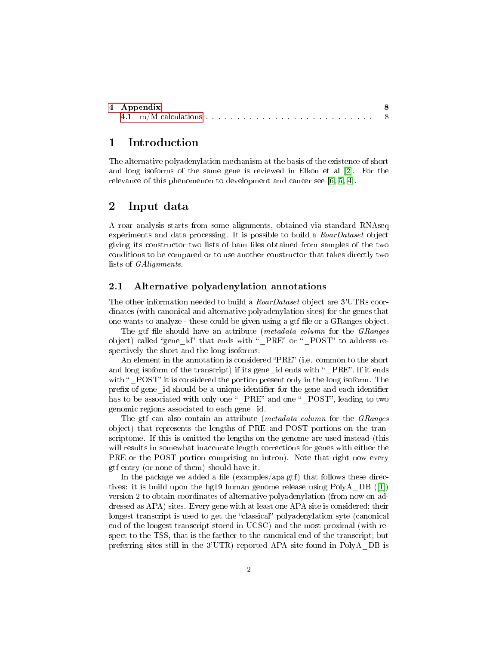| 4 Appendix |  |  |  |
|------------|--|--|--|
|            |  |  |  |

# <span id="page-1-0"></span>1 Introduction

The alternative polyadenylation mechanism at the basis of the existence of short and long isoforms of the same gene is reviewed in Elkon et al [\[2\]](#page-8-0). For the relevance of this phenomenon to development and cancer see [\[6,](#page-9-0) [5,](#page-9-1) [4\]](#page-9-2).

## <span id="page-1-1"></span>2 Input data

A roar analysis starts from some alignments, obtained via standard RNAseq experiments and data processing. It is possible to build a RoarDataset object giving its constructor two lists of bam les obtained from samples of the two conditions to be compared or to use another constructor that takes directly two lists of GAlignments.

#### <span id="page-1-2"></span>2.1 Alternative polyadenylation annotations

The other information needed to build a *RoarDataset* object are 3'UTRs coordinates (with canonical and alternative polyadenylation sites) for the genes that one wants to analyze - these could be given using a gtf file or a GRanges object.

The gtf file should have an attribute (*metadata column* for the *GRanges* object) called "gene id" that ends with " PRE" or " POST" to address respectively the short and the long isoforms.

An element in the annotation is considered "PRE" (i.e. common to the short and long isoform of the transcript) if its gene id ends with "PRE". If it ends with "POST" it is considered the portion present only in the long isoform. The prefix of gene id should be a unique identifier for the gene and each identifier has to be associated with only one " PRE" and one " POST", leading to two genomic regions associated to each gene\_id.

The gtf can also contain an attribute (*metadata column* for the *GRanges* object) that represents the lengths of PRE and POST portions on the transcriptome. If this is omitted the lengths on the genome are used instead (this will results in somewhat inaccurate length corrections for genes with either the PRE or the POST portion comprising an intron). Note that right now every gtf entry (or none of them) should have it.

In the package we added a file (examples/apa.gtf) that follows these directives: it is build upon the hg19 human genome release using PolyA\_DB ([\[1\]](#page-8-1)) version 2 to obtain coordinates of alternative polyadenylation (from now on addressed as APA) sites. Every gene with at least one APA site is considered; their longest transcript is used to get the "classical" polyadenylation syte (canonical end of the longest transcript stored in UCSC) and the most proximal (with respect to the TSS, that is the farther to the canonical end of the transcript; but preferring sites still in the 3'UTR) reported APA site found in PolyA\_DB is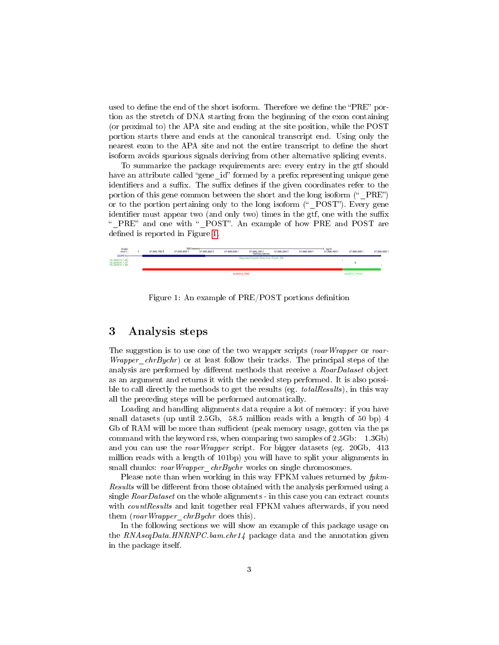used to define the end of the short isoform. Therefore we define the "PRE" portion as the stretch of DNA starting from the beginning of the exon containing (or proximal to) the APA site and ending at the site position, while the POST portion starts there and ends at the canonical transcript end. Using only the nearest exon to the APA site and not the entire transcript to define the short isoform avoids spurious signals deriving from other alternative splicing events.

To summarize the package requirements are: every entry in the gtf should have an attribute called "gene id" formed by a prefix representing unique gene identifiers and a suffix. The suffix defines if the given coordinates refer to the portion of this gene common between the short and the long isoform  $($ "  $PRE$ ") or to the portion pertaining only to the long isoform  $($ " POST"). Every gene identifier must appear two (and only two) times in the gtf, one with the suffix "\_PRE" and one with "\_POST". An example of how PRE and POST are defined is reported in Figure [1.](#page-2-1)



<span id="page-2-1"></span>Figure 1: An example of PRE/POST portions definition

# <span id="page-2-0"></span>3 Analysis steps

The suggestion is to use one of the two wrapper scripts (roarWrapper or roar-*Wrapper chrBychr*) or at least follow their tracks. The principal steps of the analysis are performed by different methods that receive a  $RoarDataset$  object as an argument and returns it with the needed step performed. It is also possible to call directly the methods to get the results (eg. *totalResults*), in this way all the preceding steps will be performed automatically.

Loading and handling alignments data require a lot of memory: if you have small datasets (up until 2.5Gb, 58.5 million reads with a length of 50 bp) 4 Gb of RAM will be more than sufficient (peak memory usage, gotten via the ps command with the keyword rss, when comparing two samples of 2.5Gb: 1.3Gb) and you can use the roarWrapper script. For bigger datasets (eg. 20Gb, 413 million reads with a length of 101bp) you will have to split your alignments in small chunks: roarWrapper\_chrBychr works on single chromosomes.

Please note than when working in this way FPKM values returned by  $fpkm$ -Results will be different from those obtained with the analysis performed using a single  $R\text{ oar}(D\text{ at }a$  as  $e$  on the whole alignments - in this case you can extract counts with *countResults* and knit together real FPKM values afterwards, if you need them (roarWrapper\_chrBychr does this).

In the following sections we will show an example of this package usage on the  $RNAseqData. HNRNPC.bam. chr14$  package data and the annotation given in the package itself.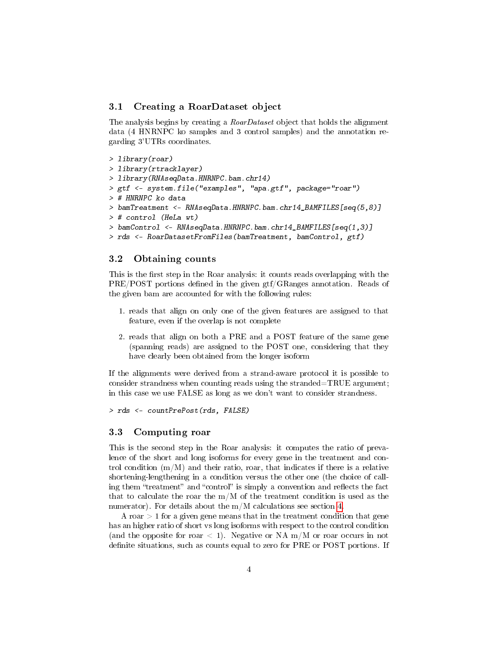#### <span id="page-3-0"></span>3.1 Creating a RoarDataset object

The analysis begins by creating a *RoarDataset* object that holds the alignment data (4 HNRNPC ko samples and 3 control samples) and the annotation regarding 3'UTRs coordinates.

```
> library(roar)
> library(rtracklayer)
> library(RNAseqData.HNRNPC.bam.chr14)
> gtf <- system.file("examples", "apa.gtf", package="roar")
> # HNRNPC ko data
> bamTreatment <- RNAseqData.HNRNPC.bam.chr14_BAMFILES[seq(5,8)]
> # control (HeLa wt)
> bamControl <- RNAseqData.HNRNPC.bam.chr14_BAMFILES[seq(1,3)]
> rds <- RoarDatasetFromFiles(bamTreatment, bamControl, gtf)
```
#### <span id="page-3-1"></span>3.2 Obtaining counts

This is the first step in the Roar analysis: it counts reads overlapping with the PRE/POST portions defined in the given gtf/GRanges annotation. Reads of the given bam are accounted for with the following rules:

- 1. reads that align on only one of the given features are assigned to that feature, even if the overlap is not complete
- 2. reads that align on both a PRE and a POST feature of the same gene (spanning reads) are assigned to the POST one, considering that they have clearly been obtained from the longer isoform

If the alignments were derived from a strand-aware protocol it is possible to consider strandness when counting reads using the stranded=TRUE argument; in this case we use FALSE as long as we don't want to consider strandness.

> rds <- countPrePost(rds, FALSE)

#### <span id="page-3-2"></span>3.3 Computing roar

This is the second step in the Roar analysis: it computes the ratio of prevalence of the short and long isoforms for every gene in the treatment and control condition  $(m/M)$  and their ratio, roar, that indicates if there is a relative shortening-lengthening in a condition versus the other one (the choice of calling them "treatment" and "control" is simply a convention and reflects the fact that to calculate the roar the m/M of the treatment condition is used as the numerator). For details about the m/M calculations see section [4.](#page-7-0)

A roar  $> 1$  for a given gene means that in the treatment condition that gene has an higher ratio of short vs long isoforms with respect to the control condition (and the opposite for roar  $\langle 1 \rangle$ ). Negative or NA m/M or roar occurs in not definite situations, such as counts equal to zero for PRE or POST portions. If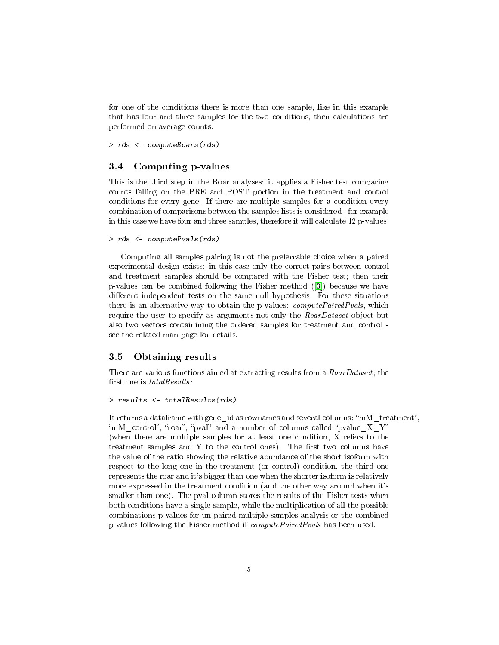for one of the conditions there is more than one sample, like in this example that has four and three samples for the two conditions, then calculations are performed on average counts.

> rds <- computeRoars(rds)

#### <span id="page-4-0"></span>3.4 Computing p-values

This is the third step in the Roar analyses: it applies a Fisher test comparing counts falling on the PRE and POST portion in the treatment and control conditions for every gene. If there are multiple samples for a condition every combination of comparisons between the samples lists is considered - for example in this case we have four and three samples, therefore it will calculate 12 p-values.

```
> rds <- computePvals(rds)
```
Computing all samples pairing is not the preferrable choice when a paired experimental design exists: in this case only the correct pairs between control and treatment samples should be compared with the Fisher test; then their p-values can be combined following the Fisher method ([\[3\]](#page-8-2)) because we have different independent tests on the same null hypothesis. For these situations there is an alternative way to obtain the p-values:  $computePairedPvals$ , which require the user to specify as arguments not only the RoarDataset object but also two vectors containining the ordered samples for treatment and control see the related man page for details.

#### <span id="page-4-1"></span>3.5 Obtaining results

There are various functions aimed at extracting results from a RoarDataset; the first one is  $totalResults$ :

```
> results <- totalResults(rds)
```
It returns a dataframe with gene—id as rownames and several columns: "mM\_treatment", "mM\_control", "roar", "pval" and a number of columns called "pvalue  $X$  Y" (when there are multiple samples for at least one condition, X refers to the treatment samples and Y to the control ones). The first two columns have the value of the ratio showing the relative abundance of the short isoform with respect to the long one in the treatment (or control) condition, the third one represents the roar and it's bigger than one when the shorter isoform is relatively more expressed in the treatment condition (and the other way around when it's smaller than one). The pval column stores the results of the Fisher tests when both conditions have a single sample, while the multiplication of all the possible combinations p-values for un-paired multiple samples analysis or the combined p-values following the Fisher method if computePairedPvals has been used.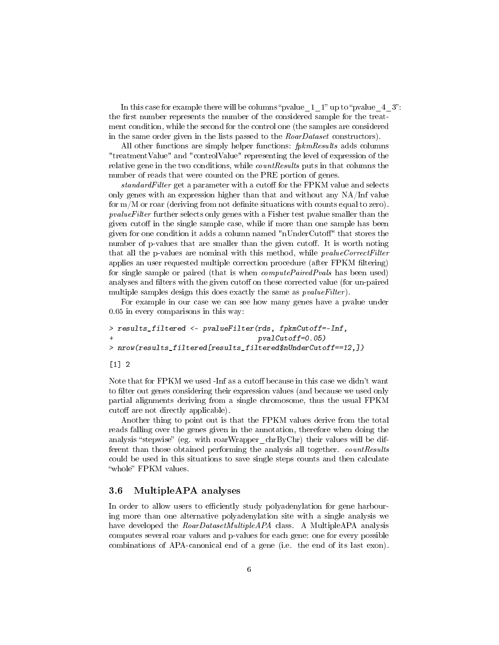In this case for example there will be columns "pvalue\_1\_1" up to "pvalue\_4\_3". the first number represents the number of the considered sample for the treatment condition, while the second for the control one (the samples are considered in the same order given in the lists passed to the RoarDataset constructors).

All other functions are simply helper functions: *fpkmResults* adds columns "treatmentValue" and "controlValue" representing the level of expression of the relative gene in the two conditions, while countResults puts in that columns the number of reads that were counted on the PRE portion of genes.

 $standardFilter$  get a parameter with a cutoff for the FPKM value and selects only genes with an expression higher than that and without any NA/Inf value for  $m/M$  or roar (deriving from not definite situations with counts equal to zero). pvalueFilter further selects only genes with a Fisher test pvalue smaller than the given cutoff in the single sample case, while if more than one sample has been given for one condition it adds a column named "nUnderCutoff" that stores the number of p-values that are smaller than the given cutoff. It is worth noting that all the p-values are nominal with this method, while *pvalueCorrectFilter* applies an user requested multiple correction procedure (after FPKM filtering) for single sample or paired (that is when *computePairedPvals* has been used) analyses and filters with the given cutoff on these corrected value (for un-paired multiple samples design this does exactly the same as  $pvalueFilter$ ).

For example in our case we can see how many genes have a pvalue under 0.05 in every comparisons in this way:

```
> results_filtered <- pvalueFilter(rds, fpkmCutoff=-Inf,
                                   pvalCutoff=0.05)> nrow(results_filtered[results_filtered$nUnderCutoff==12,])
```
#### [1] 2

Note that for FPKM we used -Inf as a cutoff because in this case we didn't want to filter out genes considering their expression values (and because we used only partial alignments deriving from a single chromosome, thus the usual FPKM cutoff are not directly applicable).

Another thing to point out is that the FPKM values derive from the total reads falling over the genes given in the annotation, therefore when doing the analysis "stepwise" (eg. with roarWrapper\_chrByChr) their values will be different than those obtained performing the analysis all together. countResults could be used in this situations to save single steps counts and then calculate "whole" FPKM values.

#### <span id="page-5-0"></span>3.6 MultipleAPA analyses

In order to allow users to efficiently study polyadenylation for gene harbouring more than one alternative polyadenylation site with a single analysis we have developed the RoarDatasetMultipleAPA class. A MultipleAPA analysis computes several roar values and p-values for each gene: one for every possible combinations of APA-canonical end of a gene (i.e. the end of its last exon).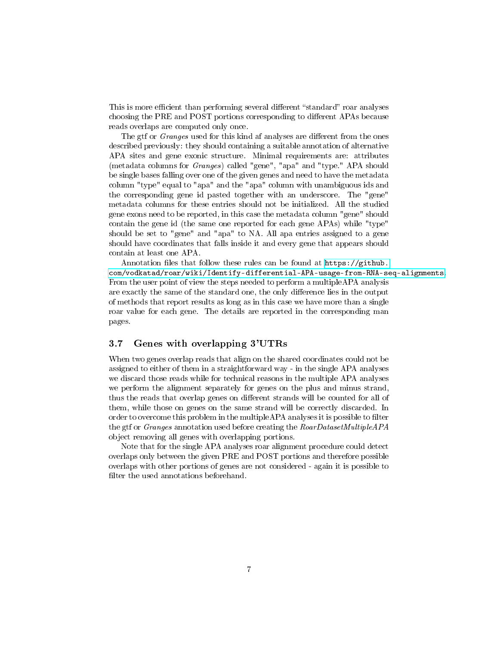This is more efficient than performing several different "standard" roar analyses choosing the PRE and POST portions corresponding to different APAs because reads overlaps are computed only once.

The gtf or *Granges* used for this kind af analyses are different from the ones described previously: they should containing a suitable annotation of alternative APA sites and gene exonic structure. Minimal requirements are: attributes (metadata columns for Granges) called "gene", "apa" and "type." APA should be single bases falling over one of the given genes and need to have the metadata column "type" equal to "apa" and the "apa" column with unambiguous ids and the corresponding gene id pasted together with an underscore. The "gene" metadata columns for these entries should not be initialized. All the studied gene exons need to be reported, in this case the metadata column "gene" should contain the gene id (the same one reported for each gene APAs) while "type" should be set to "gene" and "apa" to NA. All apa entries assigned to a gene should have coordinates that falls inside it and every gene that appears should contain at least one APA.

Annotation files that follow these rules can be found at  $https://github.com/20151600$  $https://github.com/20151600$ . [com/vodkatad/roar/wiki/Identify-differential-APA-usage-from-RNA-seq-alignments.](https://github.com/vodkatad/roar/wiki/Identify-differential-APA-usage-from-RNA-seq-alignments) From the user point of view the steps needed to perform a multipleAPA analysis are exactly the same of the standard one, the only difference lies in the output of methods that report results as long as in this case we have more than a single roar value for each gene. The details are reported in the corresponding man pages.

#### <span id="page-6-0"></span>3.7 Genes with overlapping 3'UTRs

When two genes overlap reads that align on the shared coordinates could not be assigned to either of them in a straightforward way - in the single APA analyses we discard those reads while for technical reasons in the multiple APA analyses we perform the alignment separately for genes on the plus and minus strand, thus the reads that overlap genes on different strands will be counted for all of them, while those on genes on the same strand will be correctly discarded. In order to overcome this problem in the multipleAPA analyses it is possible to filter the gtf or *Granges* annotation used before creating the *RoarDatasetMultipleAPA* object removing all genes with overlapping portions.

Note that for the single APA analyses roar alignment procedure could detect overlaps only between the given PRE and POST portions and therefore possible overlaps with other portions of genes are not considered - again it is possible to filter the used annotations beforehand.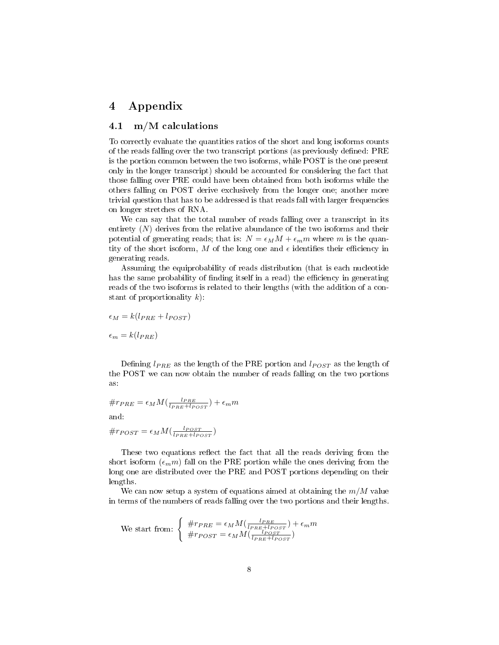# <span id="page-7-0"></span>4 Appendix

#### <span id="page-7-1"></span>4.1 m/M calculations

To correctly evaluate the quantities ratios of the short and long isoforms counts of the reads falling over the two transcript portions (as previously defined: PRE is the portion common between the two isoforms, while POST is the one present only in the longer transcript) should be accounted for considering the fact that those falling over PRE could have been obtained from both isoforms while the others falling on POST derive exclusively from the longer one; another more trivial question that has to be addressed is that reads fall with larger frequencies on longer stretches of RNA.

We can say that the total number of reads falling over a transcript in its entirety  $(N)$  derives from the relative abundance of the two isoforms and their potential of generating reads; that is:  $N = \epsilon_M M + \epsilon_m m$  where m is the quantity of the short isoform, M of the long one and  $\epsilon$  identifies their efficiency in generating reads.

Assuming the equiprobability of reads distribution (that is each nucleotide has the same probability of finding itself in a read) the efficiency in generating reads of the two isoforms is related to their lengths (with the addition of a constant of proportionality  $k$ ):

$$
\epsilon_M = k(l_{PRE} + l_{POST})
$$

 $\epsilon_m = k(l_{PRE})$ 

Defining  $l_{PRE}$  as the length of the PRE portion and  $l_{POST}$  as the length of the POST we can now obtain the number of reads falling on the two portions as:

$$
\#r_{PRE} = \epsilon_M M \left( \frac{l_{PRE}}{l_{PRE} + l_{POST}} \right) + \epsilon_m m
$$

and:

$$
\#r_{POST} = \epsilon_M M(\frac{l_{POST}}{l_{PRE} + l_{POST}})
$$

These two equations reflect the fact that all the reads deriving from the short isoform  $(\epsilon_m m)$  fall on the PRE portion while the ones deriving from the long one are distributed over the PRE and POST portions depending on their lengths.

We can now setup a system of equations aimed at obtaining the  $m/M$  value in terms of the numbers of reads falling over the two portions and their lengths.

We start from: 
$$
\begin{cases} \#r_{PRE} = \epsilon_M M(\frac{l_{PRE}}{l_{PRE} + l_{POST}}) + \epsilon_m m \\ \#r_{POST} = \epsilon_M M(\frac{l_{POST}}{l_{PRE} + l_{POST}}) \end{cases}
$$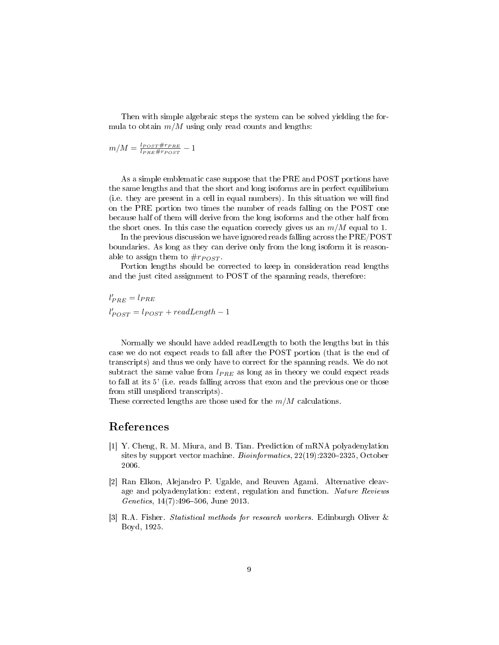Then with simple algebraic steps the system can be solved yielding the formula to obtain  $m/M$  using only read counts and lengths:

$$
m/M = \frac{l_{POST} \# r_{PRE}}{l_{PRE} \# r_{POST}} - 1
$$

As a simple emblematic case suppose that the PRE and POST portions have the same lengths and that the short and long isoforms are in perfect equilibrium (i.e. they are present in a cell in equal numbers). In this situation we will find on the PRE portion two times the number of reads falling on the POST one because half of them will derive from the long isoforms and the other half from the short ones. In this case the equation correcly gives us an  $m/M$  equal to 1.

In the previous discussion we have ignored reads falling across the PRE/POST boundaries. As long as they can derive only from the long isoform it is reasonable to assign them to  $\#r_{POST}$ .

Portion lengths should be corrected to keep in consideration read lengths and the just cited assignment to POST of the spanning reads, therefore:

 $l'_{PRE} = l_{PRE}$  $l'_{POST} = l_{POST} + readLength - 1$ 

Normally we should have added readLength to both the lengths but in this case we do not expect reads to fall after the POST portion (that is the end of transcripts) and thus we only have to correct for the spanning reads. We do not subtract the same value from  $l_{PRE}$  as long as in theory we could expect reads to fall at its 5' (i.e. reads falling across that exon and the previous one or those from still unspliced transcripts).

These corrected lengths are those used for the  $m/M$  calculations.

## References

- <span id="page-8-1"></span>[1] Y. Cheng, R. M. Miura, and B. Tian. Prediction of mRNA polyadenylation sites by support vector machine. Bioinformatics,  $22(19)$ :2320-2325, October 2006.
- <span id="page-8-0"></span>[2] Ran Elkon, Alejandro P. Ugalde, and Reuven Agami. Alternative cleavage and polyadenylation: extent, regulation and function. Nature Reviews Genetics,  $14(7)$ : 496-506, June 2013.
- <span id="page-8-2"></span>[3] R.A. Fisher. Statistical methods for research workers. Edinburgh Oliver & Boyd, 1925.